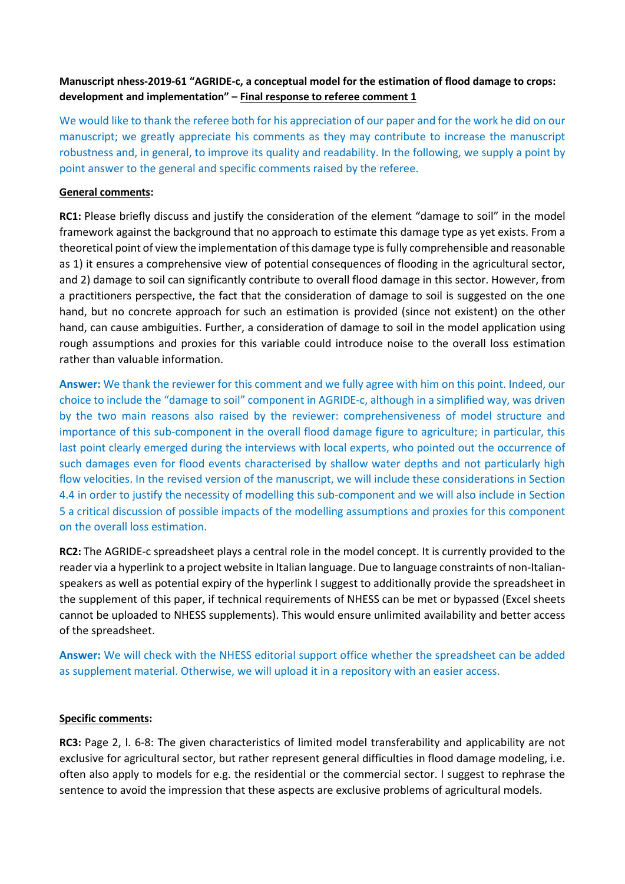# **Manuscript nhess-2019-61 "AGRIDE-c, a conceptual model for the estimation of flood damage to crops: development and implementation" – Final response to referee comment 1**

We would like to thank the referee both for his appreciation of our paper and for the work he did on our manuscript; we greatly appreciate his comments as they may contribute to increase the manuscript robustness and, in general, to improve its quality and readability. In the following, we supply a point by point answer to the general and specific comments raised by the referee.

## **General comments:**

**RC1:** Please briefly discuss and justify the consideration of the element "damage to soil" in the model framework against the background that no approach to estimate this damage type as yet exists. From a theoretical point of view the implementation of this damage type is fully comprehensible and reasonable as 1) it ensures a comprehensive view of potential consequences of flooding in the agricultural sector, and 2) damage to soil can significantly contribute to overall flood damage in this sector. However, from a practitioners perspective, the fact that the consideration of damage to soil is suggested on the one hand, but no concrete approach for such an estimation is provided (since not existent) on the other hand, can cause ambiguities. Further, a consideration of damage to soil in the model application using rough assumptions and proxies for this variable could introduce noise to the overall loss estimation rather than valuable information.

**Answer:** We thank the reviewer for this comment and we fully agree with him on this point. Indeed, our choice to include the "damage to soil" component in AGRIDE-c, although in a simplified way, was driven by the two main reasons also raised by the reviewer: comprehensiveness of model structure and importance of this sub-component in the overall flood damage figure to agriculture; in particular, this last point clearly emerged during the interviews with local experts, who pointed out the occurrence of such damages even for flood events characterised by shallow water depths and not particularly high flow velocities. In the revised version of the manuscript, we will include these considerations in Section 4.4 in order to justify the necessity of modelling this sub-component and we will also include in Section 5 a critical discussion of possible impacts of the modelling assumptions and proxies for this component on the overall loss estimation.

**RC2:** The AGRIDE-c spreadsheet plays a central role in the model concept. It is currently provided to the reader via a hyperlink to a project website in Italian language. Due to language constraints of non-Italianspeakers as well as potential expiry of the hyperlink I suggest to additionally provide the spreadsheet in the supplement of this paper, if technical requirements of NHESS can be met or bypassed (Excel sheets cannot be uploaded to NHESS supplements). This would ensure unlimited availability and better access of the spreadsheet.

**Answer:** We will check with the NHESS editorial support office whether the spreadsheet can be added as supplement material. Otherwise, we will upload it in a repository with an easier access.

### **Specific comments:**

**RC3:** Page 2, l. 6-8: The given characteristics of limited model transferability and applicability are not exclusive for agricultural sector, but rather represent general difficulties in flood damage modeling, i.e. often also apply to models for e.g. the residential or the commercial sector. I suggest to rephrase the sentence to avoid the impression that these aspects are exclusive problems of agricultural models.